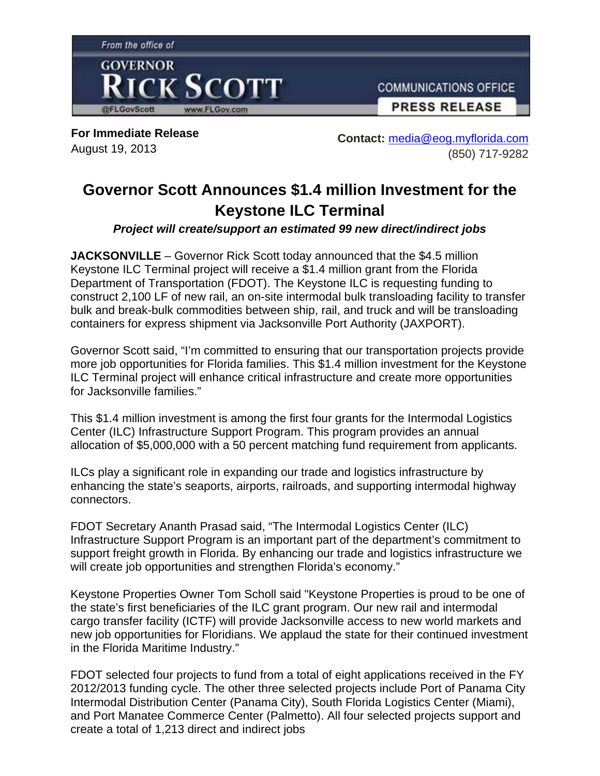

**For Immediate Release**  August 19, 2013

**Contact:** media@eog.myflorida.com (850) 717-9282

## **Governor Scott Announces \$1.4 million Investment for the Keystone ILC Terminal**

*Project will create/support an estimated 99 new direct/indirect jobs*

**JACKSONVILLE** – Governor Rick Scott today announced that the \$4.5 million Keystone ILC Terminal project will receive a \$1.4 million grant from the Florida Department of Transportation (FDOT). The Keystone ILC is requesting funding to construct 2,100 LF of new rail, an on-site intermodal bulk transloading facility to transfer bulk and break-bulk commodities between ship, rail, and truck and will be transloading containers for express shipment via Jacksonville Port Authority (JAXPORT).

Governor Scott said, "I'm committed to ensuring that our transportation projects provide more job opportunities for Florida families. This \$1.4 million investment for the Keystone ILC Terminal project will enhance critical infrastructure and create more opportunities for Jacksonville families."

This \$1.4 million investment is among the first four grants for the Intermodal Logistics Center (ILC) Infrastructure Support Program. This program provides an annual allocation of \$5,000,000 with a 50 percent matching fund requirement from applicants.

ILCs play a significant role in expanding our trade and logistics infrastructure by enhancing the state's seaports, airports, railroads, and supporting intermodal highway connectors.

FDOT Secretary Ananth Prasad said, "The Intermodal Logistics Center (ILC) Infrastructure Support Program is an important part of the department's commitment to support freight growth in Florida. By enhancing our trade and logistics infrastructure we will create job opportunities and strengthen Florida's economy."

Keystone Properties Owner Tom Scholl said "Keystone Properties is proud to be one of the state's first beneficiaries of the ILC grant program. Our new rail and intermodal cargo transfer facility (ICTF) will provide Jacksonville access to new world markets and new job opportunities for Floridians. We applaud the state for their continued investment in the Florida Maritime Industry."

FDOT selected four projects to fund from a total of eight applications received in the FY 2012/2013 funding cycle. The other three selected projects include Port of Panama City Intermodal Distribution Center (Panama City), South Florida Logistics Center (Miami), and Port Manatee Commerce Center (Palmetto). All four selected projects support and create a total of 1,213 direct and indirect jobs